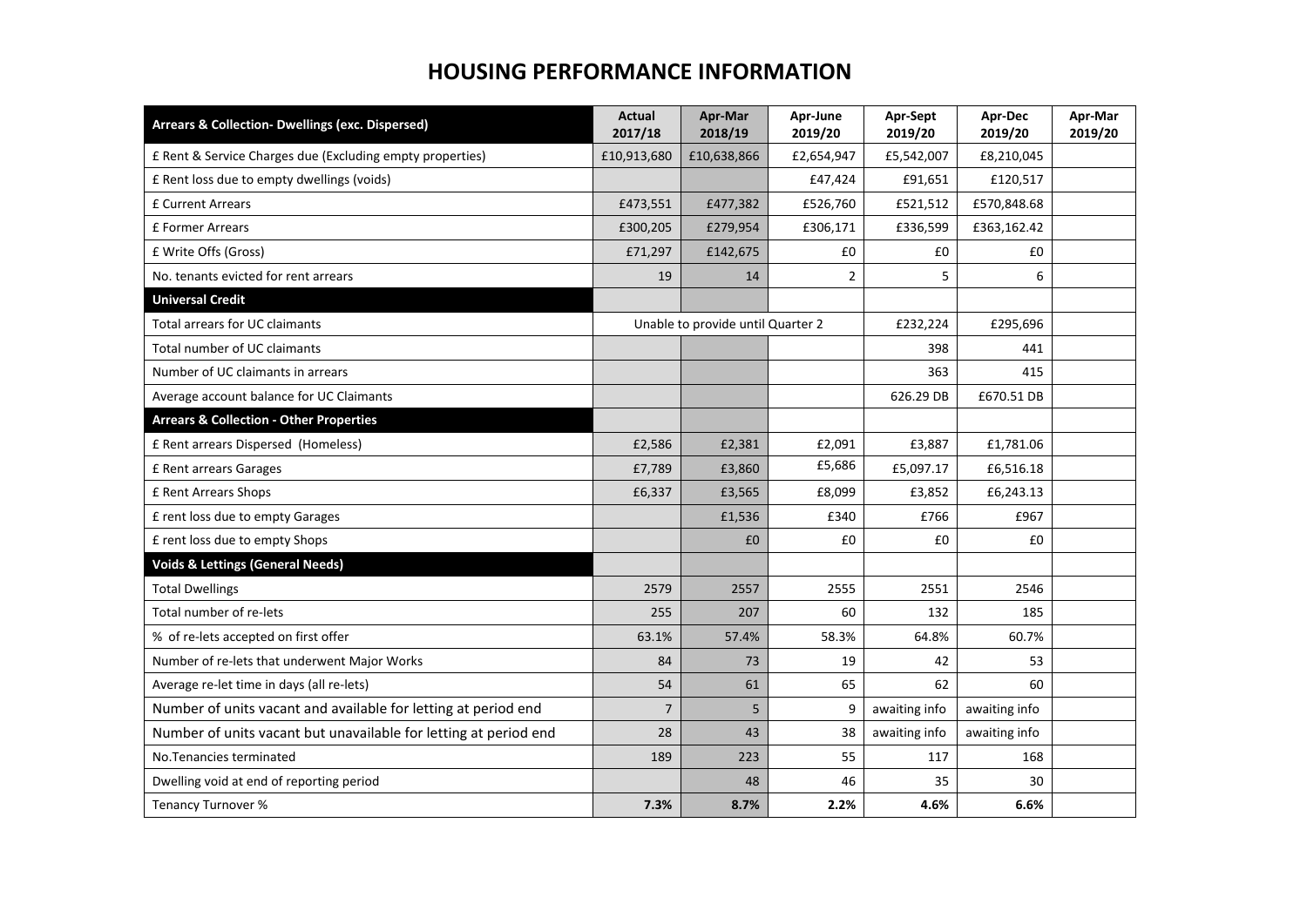## **HOUSING PERFORMANCE INFORMATION**

| Arrears & Collection- Dwellings (exc. Dispersed)                 | <b>Actual</b><br>2017/18          | Apr-Mar<br>2018/19 | Apr-June<br>2019/20 | Apr-Sept<br>2019/20 | Apr-Dec<br>2019/20 | Apr-Mar<br>2019/20 |
|------------------------------------------------------------------|-----------------------------------|--------------------|---------------------|---------------------|--------------------|--------------------|
| £ Rent & Service Charges due (Excluding empty properties)        | £10,913,680                       | £10,638,866        | £2,654,947          | £5,542,007          | £8,210,045         |                    |
| £ Rent loss due to empty dwellings (voids)                       |                                   |                    | £47,424             | £91,651             | £120,517           |                    |
| <b>£ Current Arrears</b>                                         | £473,551                          | £477,382           | £526,760            | £521,512            | £570,848.68        |                    |
| £ Former Arrears                                                 | £300,205                          | £279,954           | £306,171            | £336,599            | £363,162.42        |                    |
| £ Write Offs (Gross)                                             | £71,297                           | £142,675           | £0                  | £0                  | £0                 |                    |
| No. tenants evicted for rent arrears                             | 19                                | 14                 | $\overline{2}$      | 5                   | 6                  |                    |
| <b>Universal Credit</b>                                          |                                   |                    |                     |                     |                    |                    |
| Total arrears for UC claimants                                   | Unable to provide until Quarter 2 |                    | £232,224            | £295,696            |                    |                    |
| Total number of UC claimants                                     |                                   |                    |                     | 398                 | 441                |                    |
| Number of UC claimants in arrears                                |                                   |                    |                     | 363                 | 415                |                    |
| Average account balance for UC Claimants                         |                                   |                    |                     | 626.29 DB           | £670.51 DB         |                    |
| <b>Arrears &amp; Collection - Other Properties</b>               |                                   |                    |                     |                     |                    |                    |
| £ Rent arrears Dispersed (Homeless)                              | £2,586                            | £2,381             | £2,091              | £3,887              | £1,781.06          |                    |
| £ Rent arrears Garages                                           | £7,789                            | £3,860             | £5,686              | £5,097.17           | £6,516.18          |                    |
| £ Rent Arrears Shops                                             | £6,337                            | £3,565             | £8,099              | £3,852              | £6,243.13          |                    |
| £ rent loss due to empty Garages                                 |                                   | £1,536             | £340                | £766                | £967               |                    |
| £ rent loss due to empty Shops                                   |                                   | £0                 | £0                  | £0                  | £0                 |                    |
| <b>Voids &amp; Lettings (General Needs)</b>                      |                                   |                    |                     |                     |                    |                    |
| <b>Total Dwellings</b>                                           | 2579                              | 2557               | 2555                | 2551                | 2546               |                    |
| Total number of re-lets                                          | 255                               | 207                | 60                  | 132                 | 185                |                    |
| % of re-lets accepted on first offer                             | 63.1%                             | 57.4%              | 58.3%               | 64.8%               | 60.7%              |                    |
| Number of re-lets that underwent Major Works                     | 84                                | 73                 | 19                  | 42                  | 53                 |                    |
| Average re-let time in days (all re-lets)                        | 54                                | 61                 | 65                  | 62                  | 60                 |                    |
| Number of units vacant and available for letting at period end   | $\overline{7}$                    | 5                  | 9                   | awaiting info       | awaiting info      |                    |
| Number of units vacant but unavailable for letting at period end | 28                                | 43                 | 38                  | awaiting info       | awaiting info      |                    |
| No. Tenancies terminated                                         | 189                               | 223                | 55                  | 117                 | 168                |                    |
| Dwelling void at end of reporting period                         |                                   | 48                 | 46                  | 35                  | 30                 |                    |
| <b>Tenancy Turnover %</b>                                        | 7.3%                              | 8.7%               | 2.2%                | 4.6%                | 6.6%               |                    |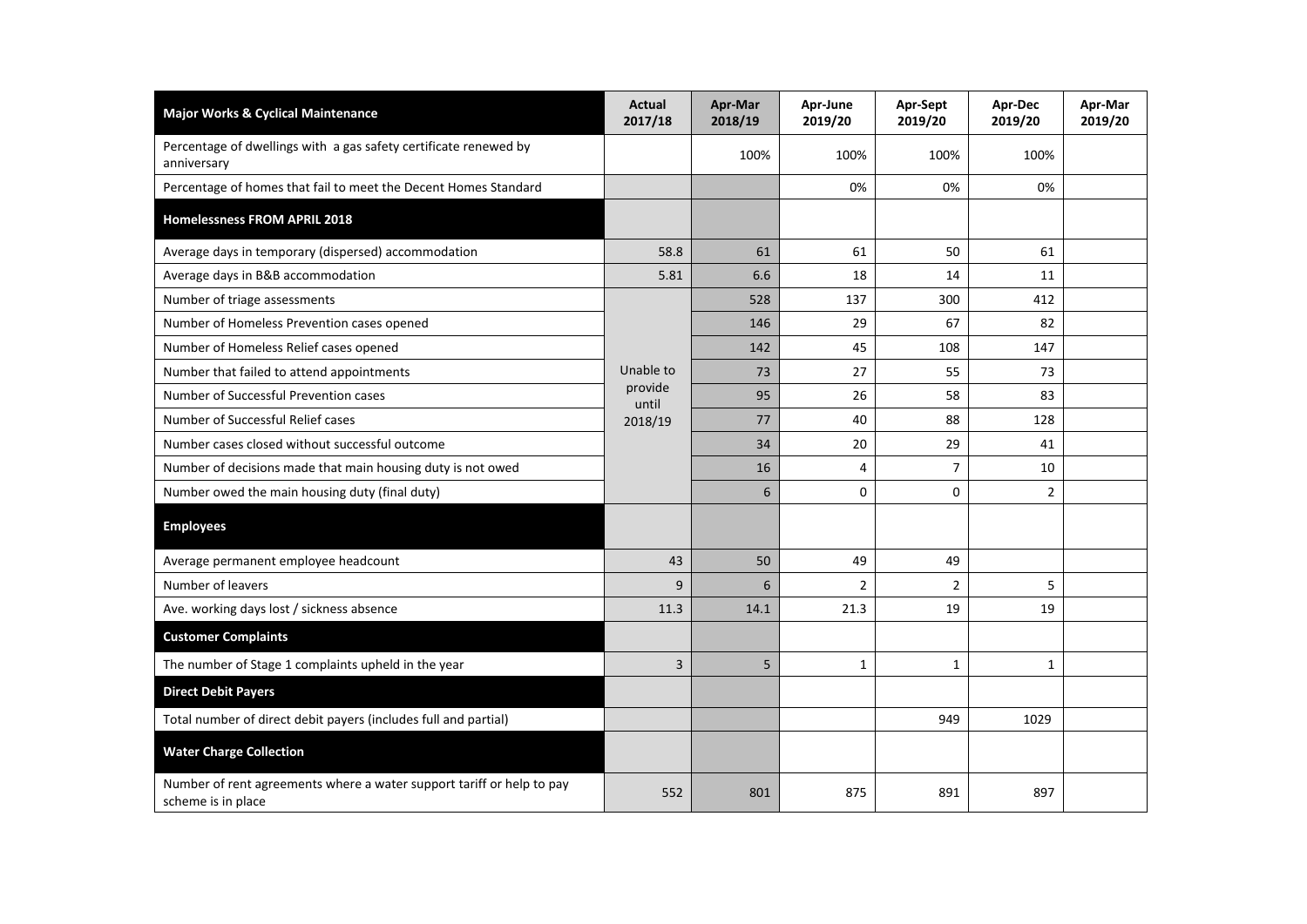| <b>Major Works &amp; Cyclical Maintenance</b>                                               | <b>Actual</b><br>2017/18                 | Apr-Mar<br>2018/19 | Apr-June<br>2019/20 | Apr-Sept<br>2019/20 | Apr-Dec<br>2019/20 | Apr-Mar<br>2019/20 |
|---------------------------------------------------------------------------------------------|------------------------------------------|--------------------|---------------------|---------------------|--------------------|--------------------|
| Percentage of dwellings with a gas safety certificate renewed by<br>anniversary             |                                          | 100%               | 100%                | 100%                | 100%               |                    |
| Percentage of homes that fail to meet the Decent Homes Standard                             |                                          |                    | 0%                  | 0%                  | 0%                 |                    |
| Homelessness FROM APRIL 2018                                                                |                                          |                    |                     |                     |                    |                    |
| Average days in temporary (dispersed) accommodation                                         | 58.8                                     | 61                 | 61                  | 50                  | 61                 |                    |
| Average days in B&B accommodation                                                           | 5.81                                     | 6.6                | 18                  | 14                  | 11                 |                    |
| Number of triage assessments                                                                | Unable to<br>provide<br>until<br>2018/19 | 528                | 137                 | 300                 | 412                |                    |
| Number of Homeless Prevention cases opened                                                  |                                          | 146                | 29                  | 67                  | 82                 |                    |
| Number of Homeless Relief cases opened                                                      |                                          | 142                | 45                  | 108                 | 147                |                    |
| Number that failed to attend appointments                                                   |                                          | 73                 | 27                  | 55                  | 73                 |                    |
| Number of Successful Prevention cases                                                       |                                          | 95                 | 26                  | 58                  | 83                 |                    |
| Number of Successful Relief cases                                                           |                                          | 77                 | 40                  | 88                  | 128                |                    |
| Number cases closed without successful outcome                                              |                                          | 34                 | 20                  | 29                  | 41                 |                    |
| Number of decisions made that main housing duty is not owed                                 |                                          | 16                 | 4                   | $\overline{7}$      | 10                 |                    |
| Number owed the main housing duty (final duty)                                              |                                          | 6                  | 0                   | $\mathbf 0$         | $\overline{2}$     |                    |
| <b>Employees</b>                                                                            |                                          |                    |                     |                     |                    |                    |
| Average permanent employee headcount                                                        | 43                                       | 50                 | 49                  | 49                  |                    |                    |
| Number of leavers                                                                           | 9                                        | 6                  | $\overline{2}$      | $\overline{2}$      | 5                  |                    |
| Ave. working days lost / sickness absence                                                   | 11.3                                     | 14.1               | 21.3                | 19                  | 19                 |                    |
| <b>Customer Complaints</b>                                                                  |                                          |                    |                     |                     |                    |                    |
| The number of Stage 1 complaints upheld in the year                                         | 3                                        | 5                  | 1                   | 1                   | 1                  |                    |
| <b>Direct Debit Payers</b>                                                                  |                                          |                    |                     |                     |                    |                    |
| Total number of direct debit payers (includes full and partial)                             |                                          |                    |                     | 949                 | 1029               |                    |
| <b>Water Charge Collection</b>                                                              |                                          |                    |                     |                     |                    |                    |
| Number of rent agreements where a water support tariff or help to pay<br>scheme is in place | 552                                      | 801                | 875                 | 891                 | 897                |                    |